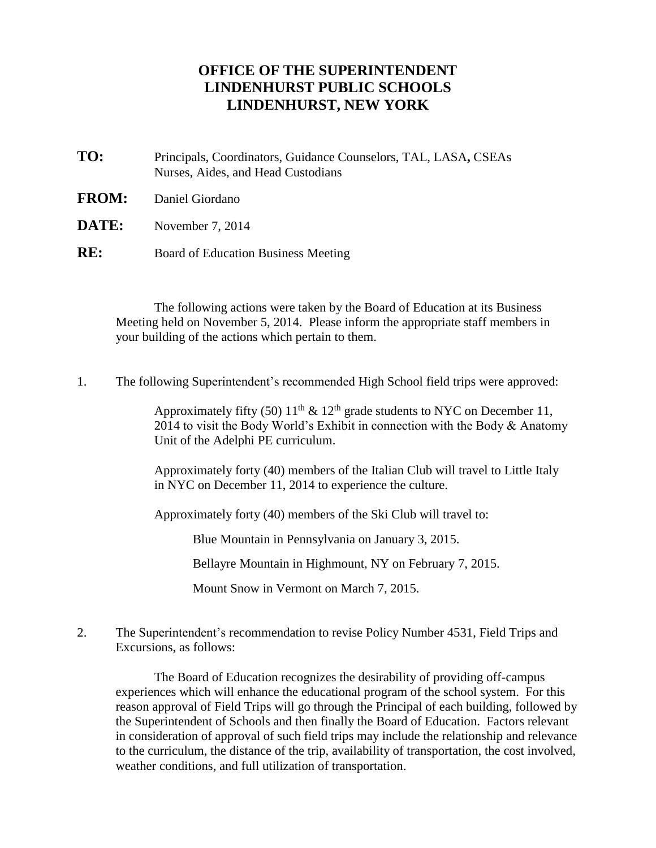## **OFFICE OF THE SUPERINTENDENT LINDENHURST PUBLIC SCHOOLS LINDENHURST, NEW YORK**

- **TO:** Principals, Coordinators, Guidance Counselors, TAL, LASA**,** CSEAs Nurses, Aides, and Head Custodians
- **FROM:** Daniel Giordano
- **DATE:** November 7, 2014
- **RE:** Board of Education Business Meeting

The following actions were taken by the Board of Education at its Business Meeting held on November 5, 2014. Please inform the appropriate staff members in your building of the actions which pertain to them.

1. The following Superintendent's recommended High School field trips were approved:

Approximately fifty (50)  $11<sup>th</sup>$  &  $12<sup>th</sup>$  grade students to NYC on December 11, 2014 to visit the Body World's Exhibit in connection with the Body & Anatomy Unit of the Adelphi PE curriculum.

Approximately forty (40) members of the Italian Club will travel to Little Italy in NYC on December 11, 2014 to experience the culture.

Approximately forty (40) members of the Ski Club will travel to:

Blue Mountain in Pennsylvania on January 3, 2015.

Bellayre Mountain in Highmount, NY on February 7, 2015.

Mount Snow in Vermont on March 7, 2015.

2. The Superintendent's recommendation to revise Policy Number 4531, Field Trips and Excursions, as follows:

The Board of Education recognizes the desirability of providing off-campus experiences which will enhance the educational program of the school system. For this reason approval of Field Trips will go through the Principal of each building, followed by the Superintendent of Schools and then finally the Board of Education. Factors relevant in consideration of approval of such field trips may include the relationship and relevance to the curriculum, the distance of the trip, availability of transportation, the cost involved, weather conditions, and full utilization of transportation.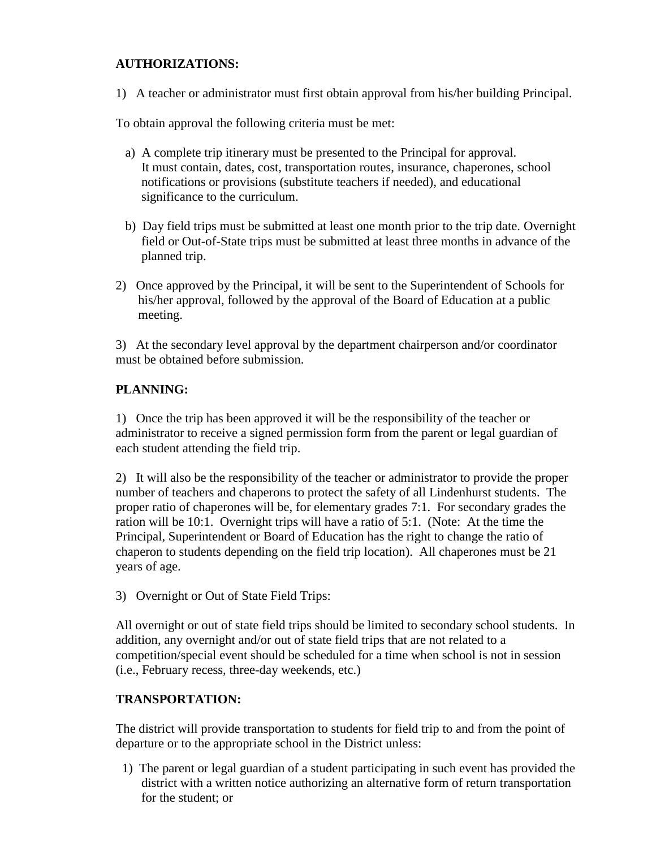## **AUTHORIZATIONS:**

1) A teacher or administrator must first obtain approval from his/her building Principal.

To obtain approval the following criteria must be met:

- a) A complete trip itinerary must be presented to the Principal for approval. It must contain, dates, cost, transportation routes, insurance, chaperones, school notifications or provisions (substitute teachers if needed), and educational significance to the curriculum.
- b) Day field trips must be submitted at least one month prior to the trip date. Overnight field or Out-of-State trips must be submitted at least three months in advance of the planned trip.
- 2) Once approved by the Principal, it will be sent to the Superintendent of Schools for his/her approval, followed by the approval of the Board of Education at a public meeting.

3) At the secondary level approval by the department chairperson and/or coordinator must be obtained before submission.

## **PLANNING:**

1) Once the trip has been approved it will be the responsibility of the teacher or administrator to receive a signed permission form from the parent or legal guardian of each student attending the field trip.

2) It will also be the responsibility of the teacher or administrator to provide the proper number of teachers and chaperons to protect the safety of all Lindenhurst students. The proper ratio of chaperones will be, for elementary grades 7:1. For secondary grades the ration will be 10:1. Overnight trips will have a ratio of 5:1. (Note: At the time the Principal, Superintendent or Board of Education has the right to change the ratio of chaperon to students depending on the field trip location). All chaperones must be 21 years of age.

3) Overnight or Out of State Field Trips:

All overnight or out of state field trips should be limited to secondary school students. In addition, any overnight and/or out of state field trips that are not related to a competition/special event should be scheduled for a time when school is not in session (i.e., February recess, three-day weekends, etc.)

## **TRANSPORTATION:**

The district will provide transportation to students for field trip to and from the point of departure or to the appropriate school in the District unless:

 1) The parent or legal guardian of a student participating in such event has provided the district with a written notice authorizing an alternative form of return transportation for the student; or